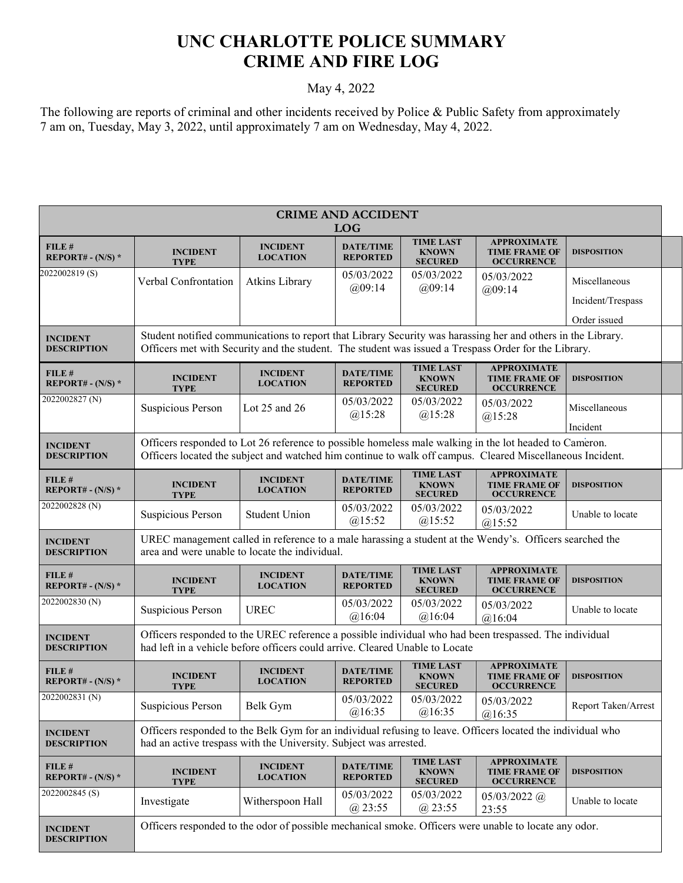## **UNC CHARLOTTE POLICE SUMMARY CRIME AND FIRE LOG**

## May 4, 2022

The following are reports of criminal and other incidents received by Police & Public Safety from approximately 7 am on, Tuesday, May 3, 2022, until approximately 7 am on Wednesday, May 4, 2022.

| <b>CRIME AND ACCIDENT</b><br><b>LOG</b> |                                                                                                                                                                                                                      |                                                                                                       |                                     |                                                    |                                                                 |                                                    |  |  |
|-----------------------------------------|----------------------------------------------------------------------------------------------------------------------------------------------------------------------------------------------------------------------|-------------------------------------------------------------------------------------------------------|-------------------------------------|----------------------------------------------------|-----------------------------------------------------------------|----------------------------------------------------|--|--|
| FILE #<br>REPORT# - $(N/S)$ *           | <b>INCIDENT</b><br><b>TYPE</b>                                                                                                                                                                                       | <b>INCIDENT</b><br><b>LOCATION</b>                                                                    | <b>DATE/TIME</b><br><b>REPORTED</b> | <b>TIME LAST</b><br><b>KNOWN</b><br><b>SECURED</b> | <b>APPROXIMATE</b><br><b>TIME FRAME OF</b><br><b>OCCURRENCE</b> | <b>DISPOSITION</b>                                 |  |  |
| 2022002819(S)                           | Verbal Confrontation                                                                                                                                                                                                 | <b>Atkins Library</b>                                                                                 | 05/03/2022<br>(a)09:14              | 05/03/2022<br>(a)09:14                             | 05/03/2022<br>(a)09:14                                          | Miscellaneous<br>Incident/Trespass<br>Order issued |  |  |
| <b>INCIDENT</b><br><b>DESCRIPTION</b>   | Student notified communications to report that Library Security was harassing her and others in the Library.<br>Officers met with Security and the student. The student was issued a Trespass Order for the Library. |                                                                                                       |                                     |                                                    |                                                                 |                                                    |  |  |
| FILE#<br>REPORT# $-(N/S)$ *             | <b>INCIDENT</b><br><b>TYPE</b>                                                                                                                                                                                       | <b>INCIDENT</b><br><b>LOCATION</b>                                                                    | <b>DATE/TIME</b><br><b>REPORTED</b> | <b>TIME LAST</b><br><b>KNOWN</b><br><b>SECURED</b> | <b>APPROXIMATE</b><br><b>TIME FRAME OF</b><br><b>OCCURRENCE</b> | <b>DISPOSITION</b>                                 |  |  |
| 2022002827 (N)                          | Suspicious Person                                                                                                                                                                                                    | Lot 25 and 26                                                                                         | 05/03/2022<br>@15:28                | 05/03/2022<br>@15:28                               | 05/03/2022<br>@15:28                                            | Miscellaneous<br>Incident                          |  |  |
| <b>INCIDENT</b><br><b>DESCRIPTION</b>   | Officers responded to Lot 26 reference to possible homeless male walking in the lot headed to Cameron.<br>Officers located the subject and watched him continue to walk off campus. Cleared Miscellaneous Incident.  |                                                                                                       |                                     |                                                    |                                                                 |                                                    |  |  |
| FILE #<br>REPORT# - $(N/S)$ *           | <b>INCIDENT</b><br><b>TYPE</b>                                                                                                                                                                                       | <b>INCIDENT</b><br><b>LOCATION</b>                                                                    | <b>DATE/TIME</b><br><b>REPORTED</b> | <b>TIME LAST</b><br><b>KNOWN</b><br><b>SECURED</b> | <b>APPROXIMATE</b><br><b>TIME FRAME OF</b><br><b>OCCURRENCE</b> | <b>DISPOSITION</b>                                 |  |  |
| 2022002828 (N)                          | Suspicious Person                                                                                                                                                                                                    | <b>Student Union</b>                                                                                  | 05/03/2022<br>$(a)$ 15:52           | 05/03/2022<br>@15:52                               | 05/03/2022<br>$(a)$ 15:52                                       | Unable to locate                                   |  |  |
| <b>INCIDENT</b><br><b>DESCRIPTION</b>   | UREC management called in reference to a male harassing a student at the Wendy's. Officers searched the<br>area and were unable to locate the individual.                                                            |                                                                                                       |                                     |                                                    |                                                                 |                                                    |  |  |
| FILE #<br>REPORT# - $(N/S)$ *           | <b>INCIDENT</b><br><b>TYPE</b>                                                                                                                                                                                       | <b>INCIDENT</b><br><b>LOCATION</b>                                                                    | <b>DATE/TIME</b><br><b>REPORTED</b> | <b>TIME LAST</b><br><b>KNOWN</b><br><b>SECURED</b> | <b>APPROXIMATE</b><br><b>TIME FRAME OF</b><br><b>OCCURRENCE</b> | <b>DISPOSITION</b>                                 |  |  |
| 2022002830 (N)                          | Suspicious Person                                                                                                                                                                                                    | <b>UREC</b>                                                                                           | 05/03/2022<br>@16:04                | 05/03/2022<br>@16:04                               | 05/03/2022<br>@16:04                                            | Unable to locate                                   |  |  |
| <b>INCIDENT</b><br><b>DESCRIPTION</b>   | Officers responded to the UREC reference a possible individual who had been trespassed. The individual<br>had left in a vehicle before officers could arrive. Cleared Unable to Locate                               |                                                                                                       |                                     |                                                    |                                                                 |                                                    |  |  |
| FILE#<br>REPORT# - $(N/S)$ *            | <b>INCIDENT</b><br><b>TYPE</b>                                                                                                                                                                                       | <b>INCIDENT</b><br><b>LOCATION</b>                                                                    | <b>DATE/TIME</b><br><b>REPORTED</b> | <b>TIME LAST</b><br><b>KNOWN</b><br><b>SECURED</b> | <b>APPROXIMATE</b><br><b>TIME FRAME OF</b><br><b>OCCURRENCE</b> | <b>DISPOSITION</b>                                 |  |  |
| 2022002831 (N)                          | Suspicious Person                                                                                                                                                                                                    | Belk Gym                                                                                              | 05/03/2022<br>@16:35                | 05/03/2022<br>@16:35                               | 05/03/2022<br>@.16:35                                           | Report Taken/Arrest                                |  |  |
| <b>INCIDENT</b><br><b>DESCRIPTION</b>   | Officers responded to the Belk Gym for an individual refusing to leave. Officers located the individual who<br>had an active trespass with the University. Subject was arrested.                                     |                                                                                                       |                                     |                                                    |                                                                 |                                                    |  |  |
| FILE #<br>REPORT# - $(N/S)$ *           | <b>INCIDENT</b><br>TYPE                                                                                                                                                                                              | <b>INCIDENT</b><br><b>LOCATION</b>                                                                    | <b>DATE/TIME</b><br><b>REPORTED</b> | <b>TIME LAST</b><br><b>KNOWN</b><br><b>SECURED</b> | <b>APPROXIMATE</b><br><b>TIME FRAME OF</b><br><b>OCCURRENCE</b> | <b>DISPOSITION</b>                                 |  |  |
| 2022002845 (S)                          | Investigate                                                                                                                                                                                                          | Witherspoon Hall                                                                                      | 05/03/2022<br>@23:55                | 05/03/2022<br>$(a)$ 23:55                          | $05/03/2022$ @<br>23:55                                         | Unable to locate                                   |  |  |
| <b>INCIDENT</b><br><b>DESCRIPTION</b>   |                                                                                                                                                                                                                      | Officers responded to the odor of possible mechanical smoke. Officers were unable to locate any odor. |                                     |                                                    |                                                                 |                                                    |  |  |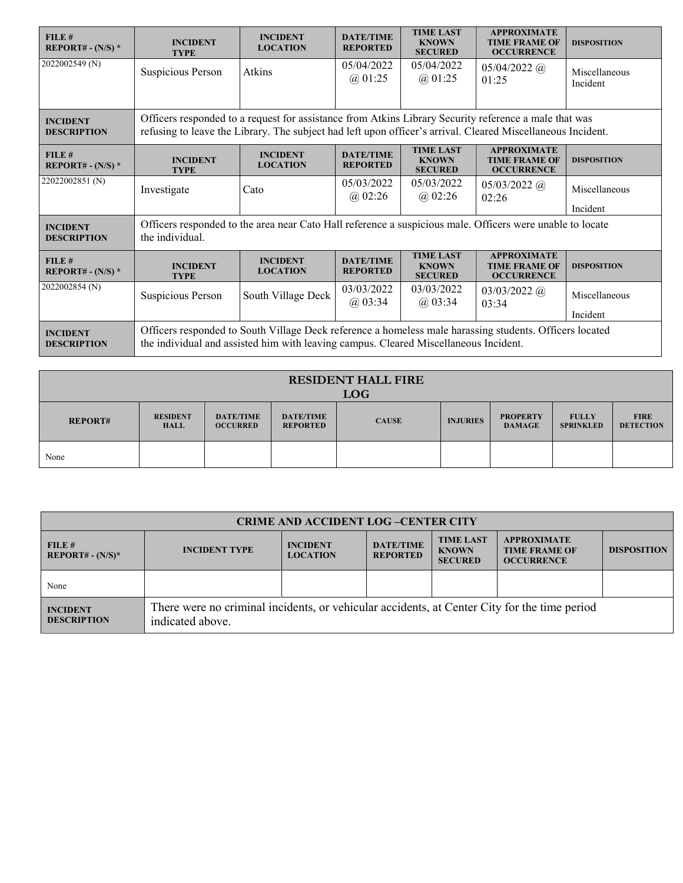| FILE#<br>REPORT# - $(N/S)$ *          | <b>INCIDENT</b><br><b>TYPE</b>                                                                                                                                                                                       | <b>INCIDENT</b><br><b>LOCATION</b> | <b>DATE/TIME</b><br><b>REPORTED</b> | <b>TIME LAST</b><br><b>KNOWN</b><br><b>SECURED</b> | <b>APPROXIMATE</b><br><b>TIME FRAME OF</b><br><b>OCCURRENCE</b> | <b>DISPOSITION</b>        |  |
|---------------------------------------|----------------------------------------------------------------------------------------------------------------------------------------------------------------------------------------------------------------------|------------------------------------|-------------------------------------|----------------------------------------------------|-----------------------------------------------------------------|---------------------------|--|
| 2022002549 (N)                        | Suspicious Person                                                                                                                                                                                                    | Atkins                             | 05/04/2022<br>(a) 01:25             | 05/04/2022<br>(a) 01:25                            | $05/04/2022$ @<br>01:25                                         | Miscellaneous<br>Incident |  |
| <b>INCIDENT</b><br><b>DESCRIPTION</b> | Officers responded to a request for assistance from Atkins Library Security reference a male that was<br>refusing to leave the Library. The subject had left upon officer's arrival. Cleared Miscellaneous Incident. |                                    |                                     |                                                    |                                                                 |                           |  |
| FILE #<br>REPORT# - $(N/S)$ *         | <b>INCIDENT</b><br><b>TYPE</b>                                                                                                                                                                                       | <b>INCIDENT</b><br><b>LOCATION</b> | <b>DATE/TIME</b><br><b>REPORTED</b> | <b>TIME LAST</b><br><b>KNOWN</b><br><b>SECURED</b> | <b>APPROXIMATE</b><br><b>TIME FRAME OF</b><br><b>OCCURRENCE</b> | <b>DISPOSITION</b>        |  |
| 22022002851 (N)                       | Investigate                                                                                                                                                                                                          | Cato                               | 05/03/2022<br>$(a)$ 02:26           | 05/03/2022<br>$(a)$ 02:26                          | $05/03/2022$ @<br>02:26                                         | Miscellaneous<br>Incident |  |
| <b>INCIDENT</b><br><b>DESCRIPTION</b> | Officers responded to the area near Cato Hall reference a suspicious male. Officers were unable to locate<br>the individual.                                                                                         |                                    |                                     |                                                    |                                                                 |                           |  |
| FILE #<br>REPORT# - $(N/S)$ *         | <b>INCIDENT</b><br><b>TYPE</b>                                                                                                                                                                                       | <b>INCIDENT</b><br><b>LOCATION</b> | <b>DATE/TIME</b><br><b>REPORTED</b> | <b>TIME LAST</b><br><b>KNOWN</b><br><b>SECURED</b> | <b>APPROXIMATE</b><br><b>TIME FRAME OF</b><br><b>OCCURRENCE</b> | <b>DISPOSITION</b>        |  |
| 2022002854 (N)                        | Suspicious Person                                                                                                                                                                                                    | South Village Deck                 | 03/03/2022<br>$(a)$ 03:34           | 03/03/2022<br>$(a)$ 03:34                          | $03/03/2022$ ( <i>a</i> )<br>03:34                              | Miscellaneous<br>Incident |  |
| <b>INCIDENT</b><br><b>DESCRIPTION</b> | Officers responded to South Village Deck reference a homeless male harassing students. Officers located<br>the individual and assisted him with leaving campus. Cleared Miscellaneous Incident.                      |                                    |                                     |                                                    |                                                                 |                           |  |

| <b>RESIDENT HALL FIRE</b><br><b>LOG</b> |                                |                                     |                                     |              |                 |                                  |                                  |                                 |
|-----------------------------------------|--------------------------------|-------------------------------------|-------------------------------------|--------------|-----------------|----------------------------------|----------------------------------|---------------------------------|
| <b>REPORT#</b>                          | <b>RESIDENT</b><br><b>HALL</b> | <b>DATE/TIME</b><br><b>OCCURRED</b> | <b>DATE/TIME</b><br><b>REPORTED</b> | <b>CAUSE</b> | <b>INJURIES</b> | <b>PROPERTY</b><br><b>DAMAGE</b> | <b>FULLY</b><br><b>SPRINKLED</b> | <b>FIRE</b><br><b>DETECTION</b> |
| None                                    |                                |                                     |                                     |              |                 |                                  |                                  |                                 |

| <b>CRIME AND ACCIDENT LOG-CENTER CITY</b> |                                                                                                                  |                                    |                                     |                                                    |                                                                 |                    |
|-------------------------------------------|------------------------------------------------------------------------------------------------------------------|------------------------------------|-------------------------------------|----------------------------------------------------|-----------------------------------------------------------------|--------------------|
| FILE#<br>$REPORT# - (N/S)*$               | <b>INCIDENT TYPE</b>                                                                                             | <b>INCIDENT</b><br><b>LOCATION</b> | <b>DATE/TIME</b><br><b>REPORTED</b> | <b>TIME LAST</b><br><b>KNOWN</b><br><b>SECURED</b> | <b>APPROXIMATE</b><br><b>TIME FRAME OF</b><br><b>OCCURRENCE</b> | <b>DISPOSITION</b> |
| None                                      |                                                                                                                  |                                    |                                     |                                                    |                                                                 |                    |
| <b>INCIDENT</b><br><b>DESCRIPTION</b>     | There were no criminal incidents, or vehicular accidents, at Center City for the time period<br>indicated above. |                                    |                                     |                                                    |                                                                 |                    |